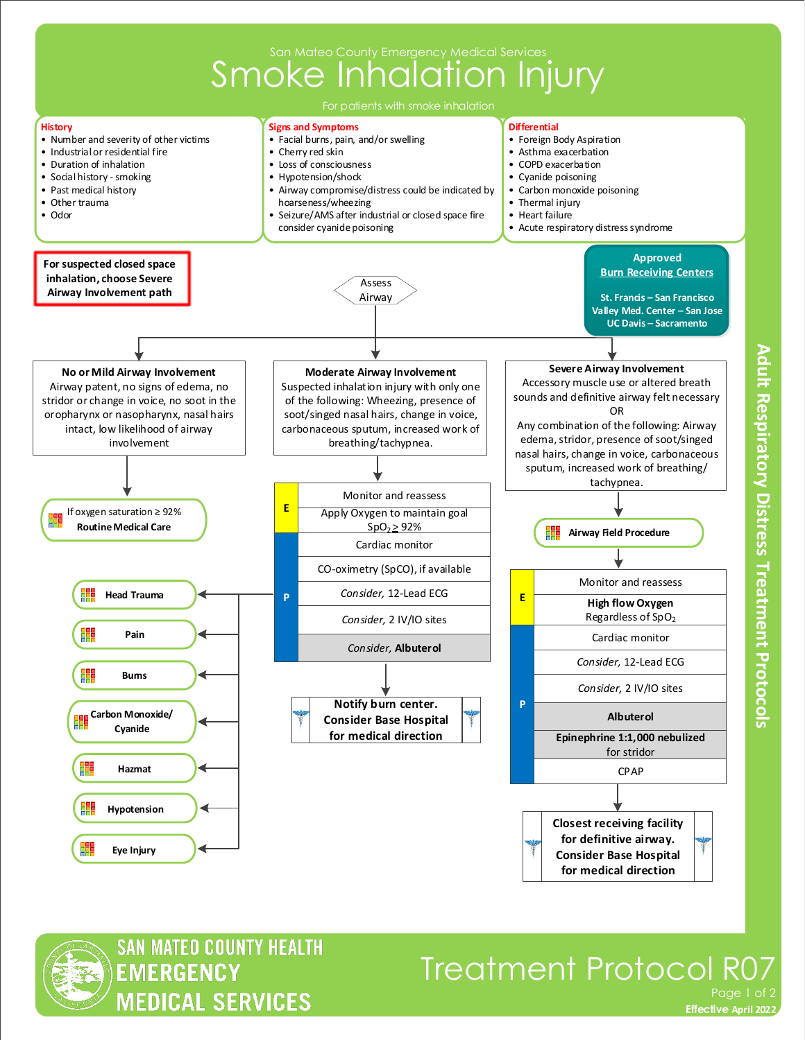



## Treatment Protocol R07 Page 1 of

**Adult Respiratory Distress Treatment Protocols** 

**Effective November 2018 Effective April 2022**